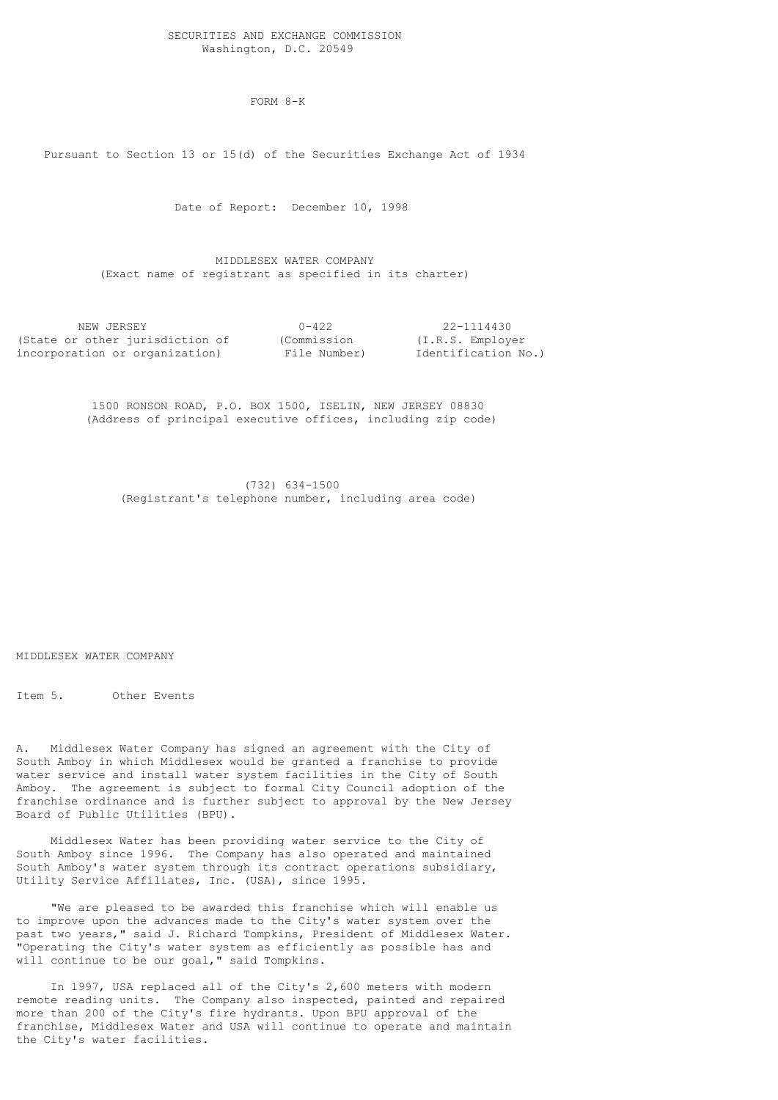## SECURITIES AND EXCHANGE COMMISSION Washington, D.C. 20549

FORM 8-K

Pursuant to Section 13 or 15(d) of the Securities Exchange Act of 1934

Date of Report: December 10, 1998

 MIDDLESEX WATER COMPANY (Exact name of registrant as specified in its charter)

| NEW JERSEY                      | $0 - 422$    | 22-1114430          |
|---------------------------------|--------------|---------------------|
| (State or other jurisdiction of | (Commission  | (I.R.S. Employer)   |
| incorporation or organization)  | File Number) | Identification No.) |

 1500 RONSON ROAD, P.O. BOX 1500, ISELIN, NEW JERSEY 08830 (Address of principal executive offices, including zip code)

 (732) 634-1500 (Registrant's telephone number, including area code)

MIDDLESEX WATER COMPANY

Item 5. Other Events

A. Middlesex Water Company has signed an agreement with the City of South Amboy in which Middlesex would be granted a franchise to provide water service and install water system facilities in the City of South Amboy. The agreement is subject to formal City Council adoption of the franchise ordinance and is further subject to approval by the New Jersey Board of Public Utilities (BPU).

 Middlesex Water has been providing water service to the City of South Amboy since 1996. The Company has also operated and maintained South Amboy's water system through its contract operations subsidiary, Utility Service Affiliates, Inc. (USA), since 1995.

 "We are pleased to be awarded this franchise which will enable us to improve upon the advances made to the City's water system over the past two years," said J. Richard Tompkins, President of Middlesex Water. "Operating the City's water system as efficiently as possible has and will continue to be our goal," said Tompkins.

 In 1997, USA replaced all of the City's 2,600 meters with modern remote reading units. The Company also inspected, painted and repaired more than 200 of the City's fire hydrants. Upon BPU approval of the franchise, Middlesex Water and USA will continue to operate and maintain the City's water facilities.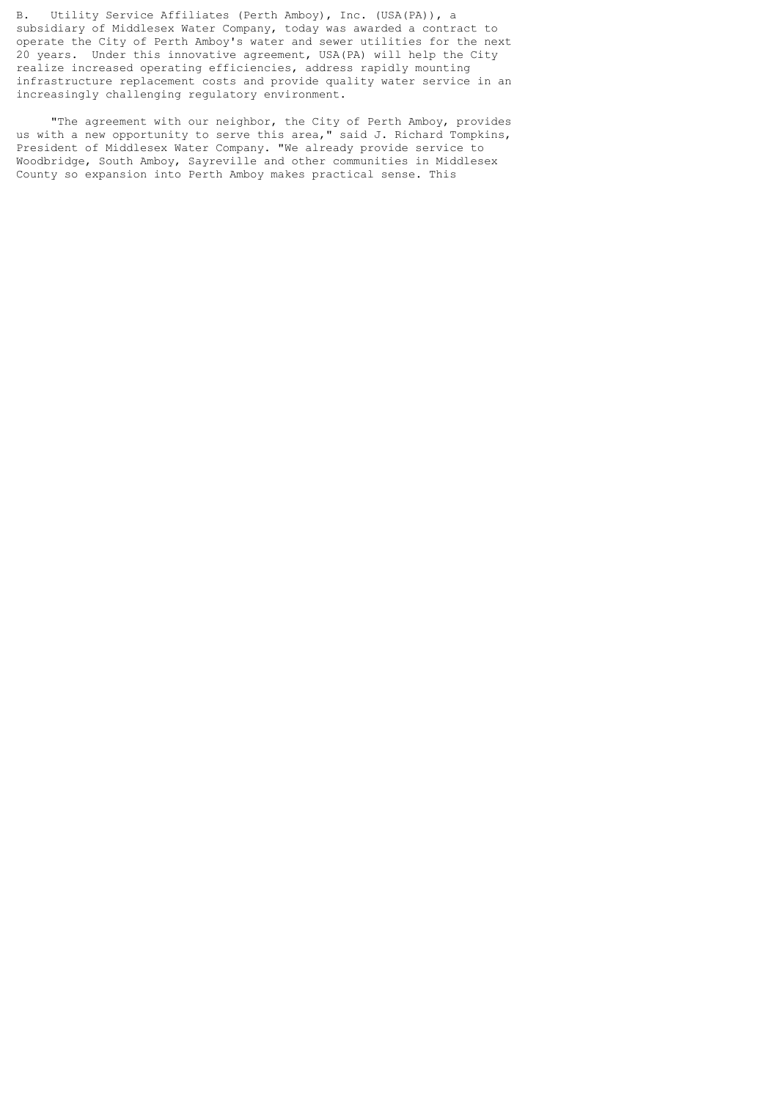B. Utility Service Affiliates (Perth Amboy), Inc. (USA(PA)), a subsidiary of Middlesex Water Company, today was awarded a contract to operate the City of Perth Amboy's water and sewer utilities for the next 20 years. Under this innovative agreement, USA(PA) will help the City realize increased operating efficiencies, address rapidly mounting infrastructure replacement costs and provide quality water service in an increasingly challenging regulatory environment.

 "The agreement with our neighbor, the City of Perth Amboy, provides us with a new opportunity to serve this area," said J. Richard Tompkins, President of Middlesex Water Company. "We already provide service to Woodbridge, South Amboy, Sayreville and other communities in Middlesex County so expansion into Perth Amboy makes practical sense. This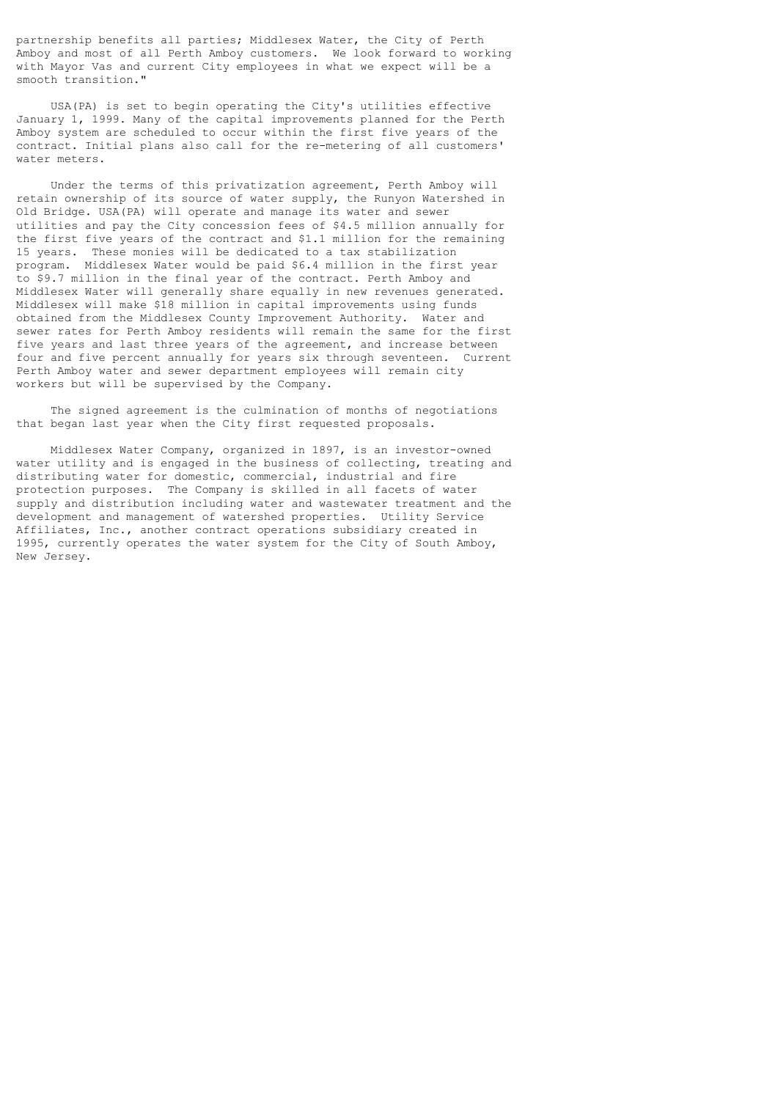partnership benefits all parties; Middlesex Water, the City of Perth Amboy and most of all Perth Amboy customers. We look forward to working with Mayor Vas and current City employees in what we expect will be a smooth transition."

 USA(PA) is set to begin operating the City's utilities effective January 1, 1999. Many of the capital improvements planned for the Perth Amboy system are scheduled to occur within the first five years of the contract. Initial plans also call for the re-metering of all customers' water meters.

 Under the terms of this privatization agreement, Perth Amboy will retain ownership of its source of water supply, the Runyon Watershed in Old Bridge. USA(PA) will operate and manage its water and sewer utilities and pay the City concession fees of \$4.5 million annually for the first five years of the contract and \$1.1 million for the remaining 15 years. These monies will be dedicated to a tax stabilization program. Middlesex Water would be paid \$6.4 million in the first year to \$9.7 million in the final year of the contract. Perth Amboy and Middlesex Water will generally share equally in new revenues generated. Middlesex will make \$18 million in capital improvements using funds obtained from the Middlesex County Improvement Authority. Water and sewer rates for Perth Amboy residents will remain the same for the first five years and last three years of the agreement, and increase between four and five percent annually for years six through seventeen. Current Perth Amboy water and sewer department employees will remain city workers but will be supervised by the Company.

 The signed agreement is the culmination of months of negotiations that began last year when the City first requested proposals.

 Middlesex Water Company, organized in 1897, is an investor-owned water utility and is engaged in the business of collecting, treating and distributing water for domestic, commercial, industrial and fire protection purposes. The Company is skilled in all facets of water supply and distribution including water and wastewater treatment and the development and management of watershed properties. Utility Service Affiliates, Inc., another contract operations subsidiary created in 1995, currently operates the water system for the City of South Amboy, New Jersey.